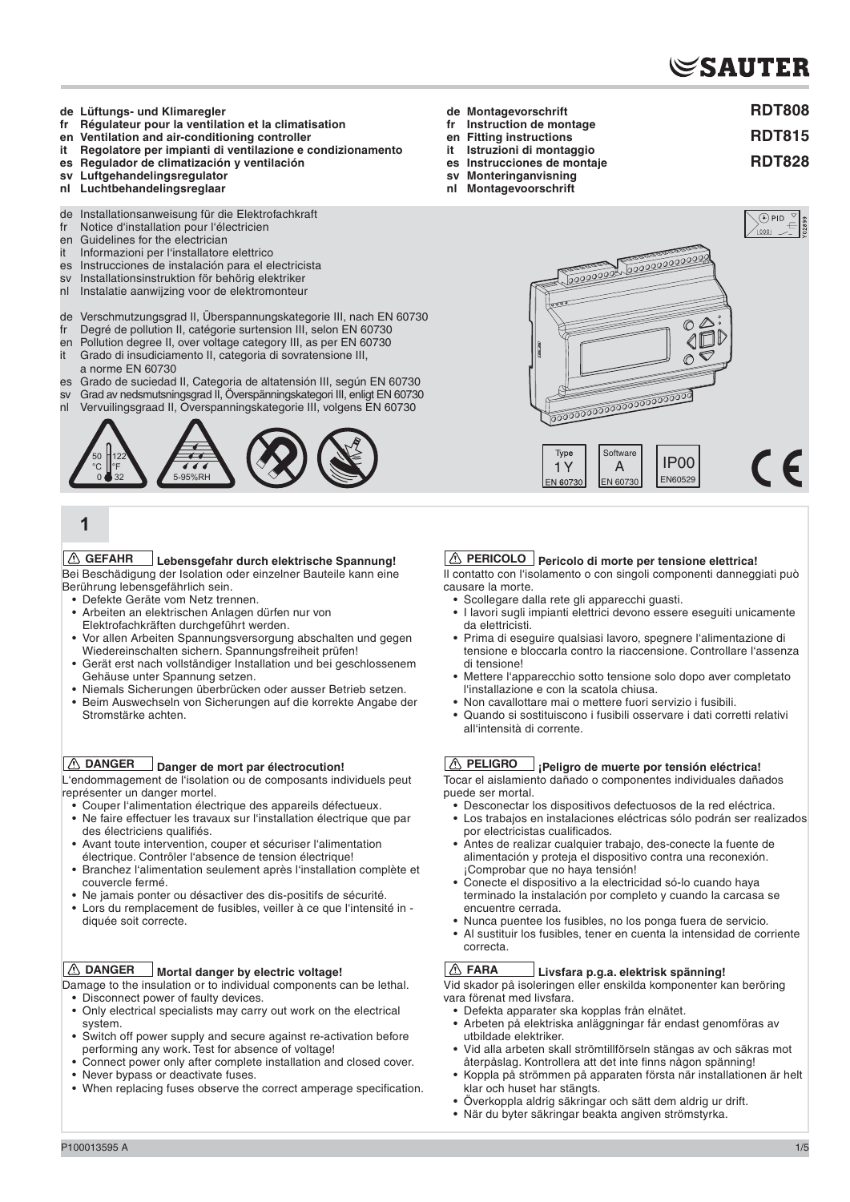# $\mathop{\bf \otimes}$ SAUTER

**RDT808 RDT815 RDT828** 

- **de Lüftungs- und Klimaregler**
- **fr Régulateur pour la ventilation et la climatisation**
- **en Ventilation and air-conditioning controller**
- **it Regolatore per impianti di ventilazione e condizionamento**
- **es Regulador de climatización y ventilación**
- **sv Luftgehandelingsregulator**
- **nl Luchtbehandelingsreglaar**
- de Installationsanweisung für die Elektrofachkraft
- fr Notice d'installation pour l'électricien<br>en Guidelines for the electrician
- Guidelines for the electrician
- it Informazioni per l'installatore elettrico
- es Instrucciones de instalación para el electricista
- sv Installationsinstruktion för behörig elektriker
- Instalatie aanwijzing voor de elektromonteur
- de Verschmutzungsgrad II, Überspannungskategorie III, nach EN 60730
- fr Degré de pollution II, catégorie surtension III, selon EN 60730
- en Pollution degree II, over voltage category III, as per EN 60730
- it Grado di insudiciamento II, categoria di sovratensione III, a norme EN 60730
- es Grado de suciedad II, Categoria de altatensión III, según EN 60730
- sv Grad av nedsmutsningsgrad II, Överspänningskategori III, enligt EN 60730



### **1**

#### **GEFAHR Lebensgefahr durch elektrische Spannung!** Bei Beschädigung der Isolation oder einzelner Bauteile kann eine

- Berührung lebensgefährlich sein.
	- • Defekte Geräte vom Netz trennen.
	- • Arbeiten an elektrischen Anlagen dürfen nur von Elektrofachkräften durchgeführt werden.
	- Vor allen Arbeiten Spannungsversorgung abschalten und gegen Wiedereinschalten sichern. Spannungsfreiheit prüfen!
	- • Gerät erst nach vollständiger Installation und bei geschlossenem Gehäuse unter Spannung setzen.
	- Niemals Sicherungen überbrücken oder ausser Betrieb setzen.
	- Beim Auswechseln von Sicherungen auf die korrekte Angabe der Stromstärke achten.

#### **DANGER Danger de mort par électrocution!**

L'endommagement de l'isolation ou de composants individuels peut représenter un danger mortel.

- Couper l'alimentation électrique des appareils défectueux.
- Ne faire effectuer les travaux sur l'installation électrique que par des électriciens qualifiés.
- • Avant toute intervention, couper et sécuriser l'alimentation électrique. Contrôler l'absence de tension électrique!
- • Branchez l'alimentation seulement après l'installation complète et couvercle fermé.
- • Ne jamais ponter ou désactiver des dis-positifs de sécurité.
- • Lors du remplacement de fusibles, veiller à ce que l'intensité in diquée soit correcte.

#### **DANGER Mortal danger by electric voltage!**

Damage to the insulation or to individual components can be lethal. • Disconnect power of faulty devices.

- Only electrical specialists may carry out work on the electrical system.
- • Switch off power supply and secure against re-activation before performing any work. Test for absence of voltage!
- Connect power only after complete installation and closed cover.
- Never bypass or deactivate fuses.
- When replacing fuses observe the correct amperage specification.
- **de Montagevorschrift**
	- **Instruction de montage**
- **en Fitting instructions**
- **Istruzioni di montaggio**
- **es Instrucciones de montaje**
- **sv Monteringanvisning nl Montagevoorschrift**





#### **PERICOLO Pericolo di morte per tensione elettrica!**

Il contatto con l'isolamento o con singoli componenti danneggiati può causare la morte.

- • Scollegare dalla rete gli apparecchi guasti.
- I lavori sugli impianti elettrici devono essere eseguiti unicamente da elettricisti.
- Prima di eseguire qualsiasi lavoro, spegnere l'alimentazione di tensione e bloccarla contro la riaccensione. Controllare l'assenza di tensione!
- Mettere l'apparecchio sotto tensione solo dopo aver completato l'installazione e con la scatola chiusa.
- Non cavallottare mai o mettere fuori servizio i fusibili.<br>• Quando si sostituiscono i fusibili osservare i dati corr
- • Quando si sostituiscono i fusibili osservare i dati corretti relativi all'intensità di corrente.

### **PELIGRO ¡Peligro de muerte por tensión eléctrica!**

Tocar el aislamiento dañado o componentes individuales dañados puede ser mortal.

- • Desconectar los dispositivos defectuosos de la red eléctrica. Los trabajos en instalaciones eléctricas sólo podrán ser realizados
- por electricistas cualificados.
- • Antes de realizar cualquier trabajo, des-conecte la fuente de alimentación y proteja el dispositivo contra una reconexión. ¡Comprobar que no haya tensión!
- • Conecte el dispositivo a la electricidad só-lo cuando haya terminado la instalación por completo y cuando la carcasa se encuentre cerrada.
- Nunca puentee los fusibles, no los ponga fuera de servicio.
- Al sustituir los fusibles, tener en cuenta la intensidad de corriente correcta.

### **FARA Livsfara p.g.a. elektrisk spänning!**

Vid skador på isoleringen eller enskilda komponenter kan beröring vara förenat med livsfara.

- Defekta apparater ska kopplas från elnätet.
- Arbeten på elektriska anläggningar får endast genomföras av utbildade elektriker.
- Vid alla arbeten skall strömtillförseln stängas av och säkras mot återpåslag. Kontrollera att det inte finns någon spänning!
- Koppla på strömmen på apparaten första när installationen är helt klar och huset har stängts.
- Överkoppla aldrig säkringar och sätt dem aldrig ur drift.
- • När du byter säkringar beakta angiven strömstyrka.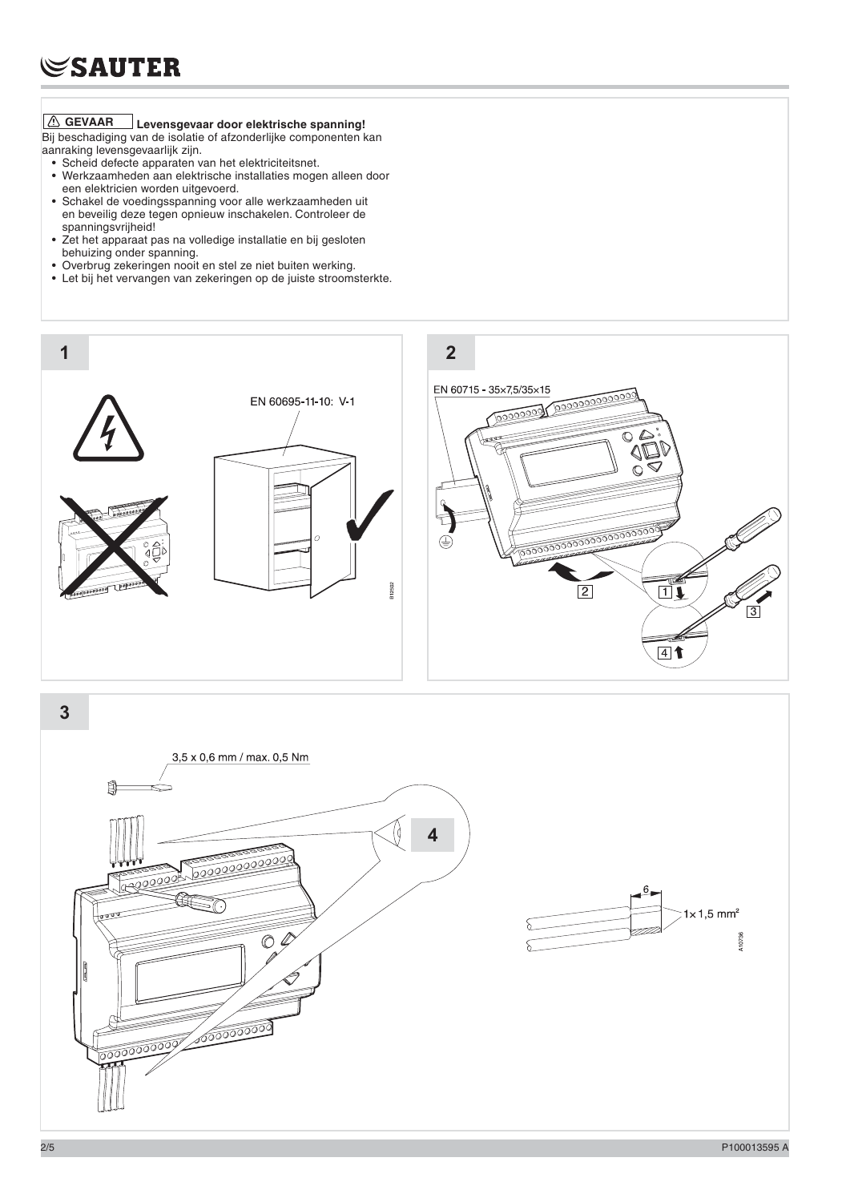### **GEVAAR Levensgevaar door elektrische spanning!**

- Bij beschadiging van de isolatie of afzonderlijke componenten kan aanraking levensgevaarlijk zijn.
- • Scheid defecte apparaten van het elektriciteitsnet.
- • Werkzaamheden aan elektrische installaties mogen alleen door een elektricien worden uitgevoerd.
- • Schakel de voedingsspanning voor alle werkzaamheden uit en beveilig deze tegen opnieuw inschakelen. Controleer de spanningsvrijheid!
- Zet het apparaat pas na volledige installatie en bij gesloten behuizing onder spanning.
- • Overbrug zekeringen nooit en stel ze niet buiten werking.
- • Let bij het vervangen van zekeringen op de juiste stroomsterkte.



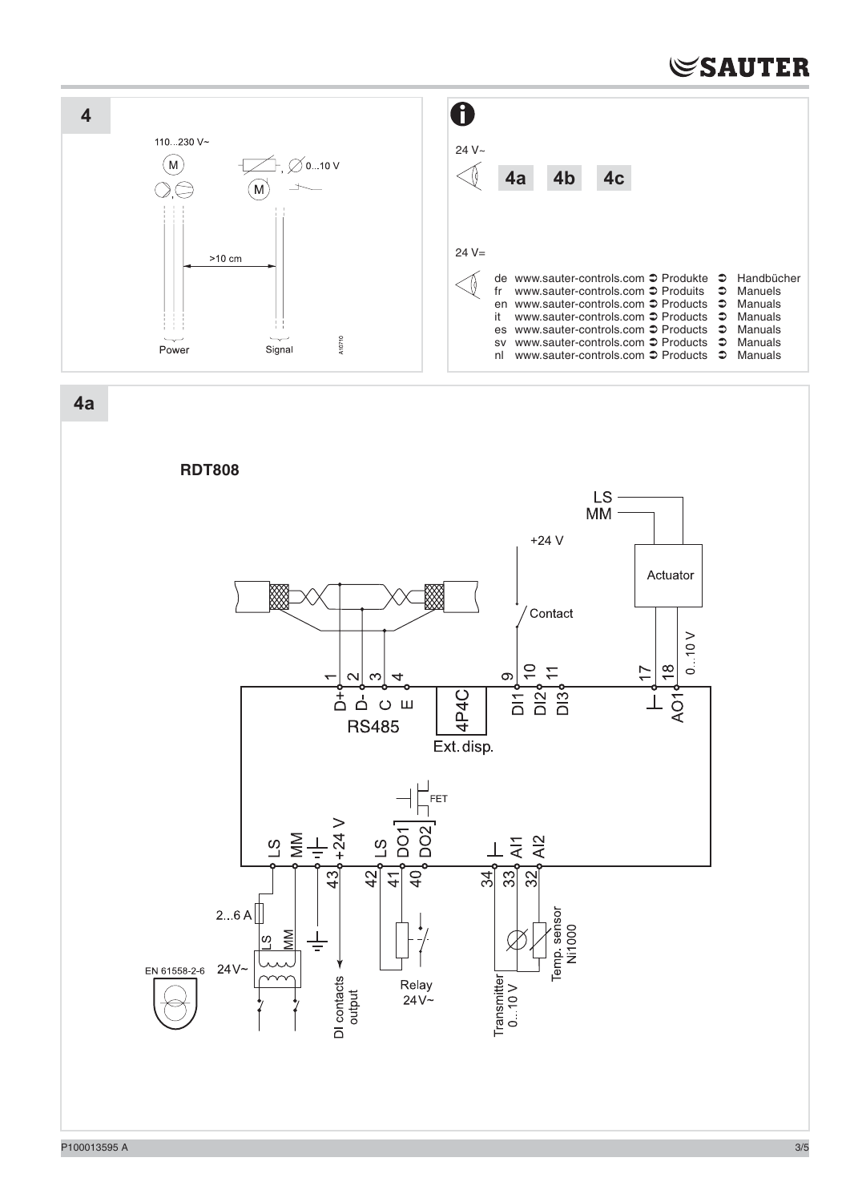

P100013595 A 3/5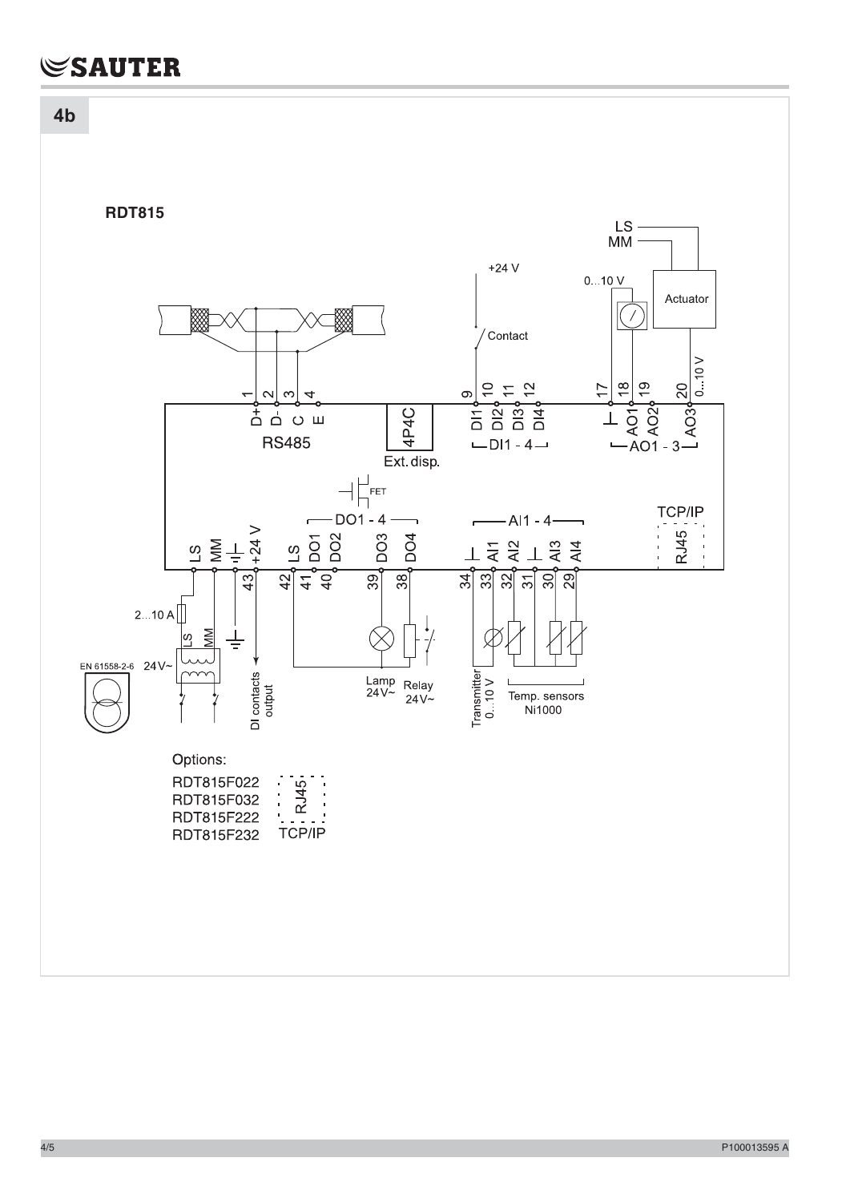$4<sub>b</sub>$ 

**RDT815**